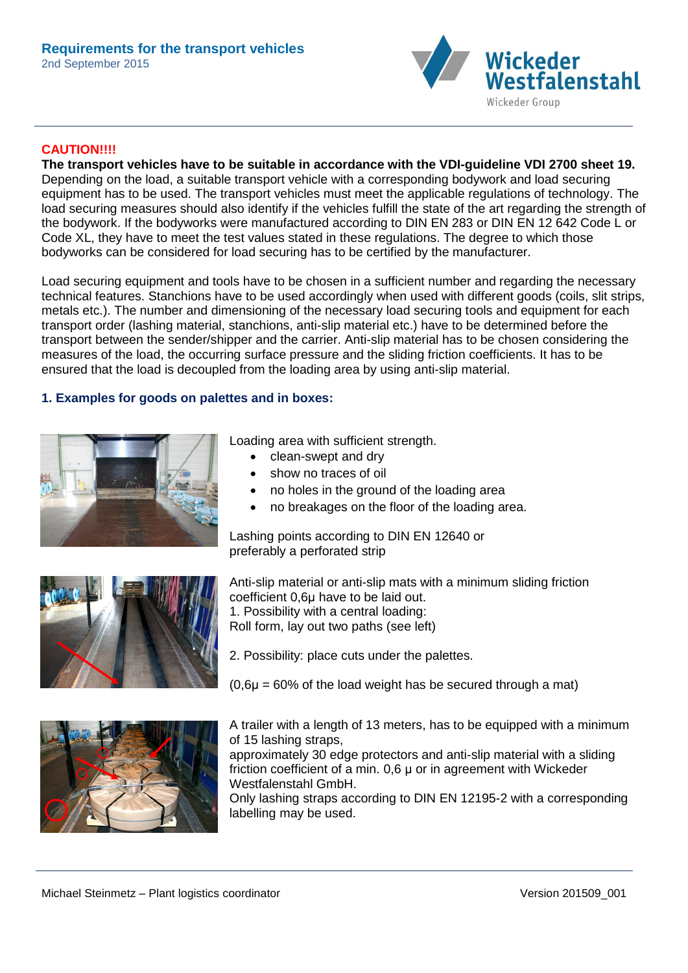

## **CAUTION!!!!**

**The transport vehicles have to be suitable in accordance with the VDI-guideline VDI 2700 sheet 19.** Depending on the load, a suitable transport vehicle with a corresponding bodywork and load securing equipment has to be used. The transport vehicles must meet the applicable regulations of technology. The load securing measures should also identify if the vehicles fulfill the state of the art regarding the strength of the bodywork. If the bodyworks were manufactured according to DIN EN 283 or DIN EN 12 642 Code L or Code XL, they have to meet the test values stated in these regulations. The degree to which those bodyworks can be considered for load securing has to be certified by the manufacturer.

Load securing equipment and tools have to be chosen in a sufficient number and regarding the necessary technical features. Stanchions have to be used accordingly when used with different goods (coils, slit strips, metals etc.). The number and dimensioning of the necessary load securing tools and equipment for each transport order (lashing material, stanchions, anti-slip material etc.) have to be determined before the transport between the sender/shipper and the carrier. Anti-slip material has to be chosen considering the measures of the load, the occurring surface pressure and the sliding friction coefficients. It has to be ensured that the load is decoupled from the loading area by using anti-slip material.

### **1. Examples for goods on palettes and in boxes:**







Loading area with sufficient strength.

- clean-swept and dry
- show no traces of oil
- no holes in the ground of the loading area
- no breakages on the floor of the loading area.

Lashing points according to DIN EN 12640 or preferably a perforated strip

Anti-slip material or anti-slip mats with a minimum sliding friction coefficient 0,6μ have to be laid out. 1. Possibility with a central loading: Roll form, lay out two paths (see left)

- 2. Possibility: place cuts under the palettes.
- $(0,6\mu = 60\%$  of the load weight has be secured through a mat)

A trailer with a length of 13 meters, has to be equipped with a minimum of 15 lashing straps,

approximately 30 edge protectors and anti-slip material with a sliding friction coefficient of a min. 0,6 μ or in agreement with Wickeder Westfalenstahl GmbH.

Only lashing straps according to DIN EN 12195-2 with a corresponding labelling may be used.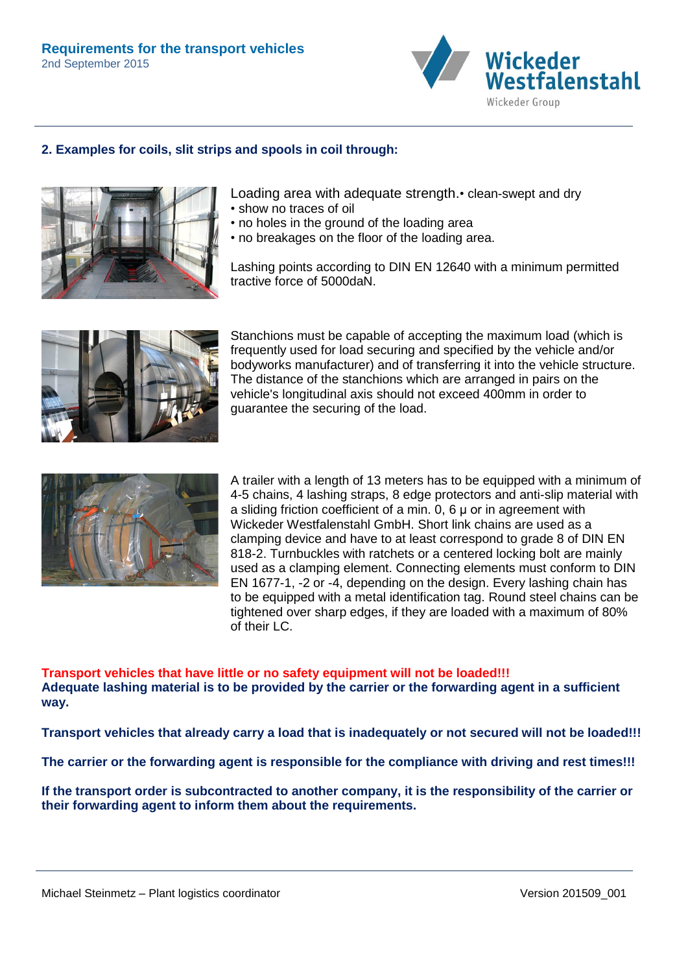

## **2. Examples for coils, slit strips and spools in coil through:**



Loading area with adequate strength.• clean-swept and dry

- show no traces of oil
- no holes in the ground of the loading area
- no breakages on the floor of the loading area.

Lashing points according to DIN EN 12640 with a minimum permitted tractive force of 5000daN.



Stanchions must be capable of accepting the maximum load (which is frequently used for load securing and specified by the vehicle and/or bodyworks manufacturer) and of transferring it into the vehicle structure. The distance of the stanchions which are arranged in pairs on the vehicle's longitudinal axis should not exceed 400mm in order to guarantee the securing of the load.



A trailer with a length of 13 meters has to be equipped with a minimum of 4-5 chains, 4 lashing straps, 8 edge protectors and anti-slip material with a sliding friction coefficient of a min. 0, 6 μ or in agreement with Wickeder Westfalenstahl GmbH. Short link chains are used as a clamping device and have to at least correspond to grade 8 of DIN EN 818-2. Turnbuckles with ratchets or a centered locking bolt are mainly used as a clamping element. Connecting elements must conform to DIN EN 1677-1, -2 or -4, depending on the design. Every lashing chain has to be equipped with a metal identification tag. Round steel chains can be tightened over sharp edges, if they are loaded with a maximum of 80% of their LC.

**Transport vehicles that have little or no safety equipment will not be loaded!!! Adequate lashing material is to be provided by the carrier or the forwarding agent in a sufficient way.** 

**Transport vehicles that already carry a load that is inadequately or not secured will not be loaded!!!**

**The carrier or the forwarding agent is responsible for the compliance with driving and rest times!!!** 

**If the transport order is subcontracted to another company, it is the responsibility of the carrier or their forwarding agent to inform them about the requirements.**